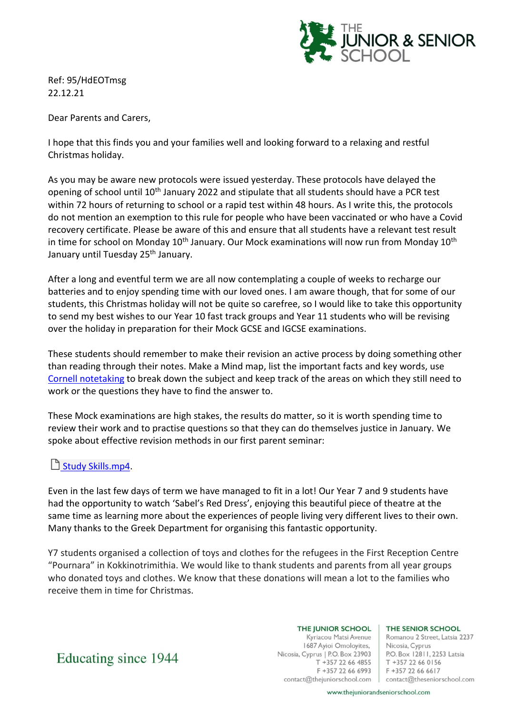

Ref: 95/HdEOTmsg 22.12.21

Dear Parents and Carers,

I hope that this finds you and your families well and looking forward to a relaxing and restful Christmas holiday.

As you may be aware new protocols were issued yesterday. These protocols have delayed the opening of school until 10<sup>th</sup> January 2022 and stipulate that all students should have a PCR test within 72 hours of returning to school or a rapid test within 48 hours. As I write this, the protocols do not mention an exemption to this rule for people who have been vaccinated or who have a Covid recovery certificate. Please be aware of this and ensure that all students have a relevant test result in time for school on Monday  $10<sup>th</sup>$  January. Our Mock examinations will now run from Monday  $10<sup>th</sup>$ January until Tuesday 25<sup>th</sup> January.

After a long and eventful term we are all now contemplating a couple of weeks to recharge our batteries and to enjoy spending time with our loved ones. I am aware though, that for some of our students, this Christmas holiday will not be quite so carefree, so I would like to take this opportunity to send my best wishes to our Year 10 fast track groups and Year 11 students who will be revising over the holiday in preparation for their Mock GCSE and IGCSE examinations.

These students should remember to make their revision an active process by doing something other than reading through their notes. Make a Mind map, list the important facts and key words, use [Cornell notetaking](https://www.youtube.com/watch?v=nX-xshA_0m8) to break down the subject and keep track of the areas on which they still need to work or the questions they have to find the answer to.

These Mock examinations are high stakes, the results do matter, so it is worth spending time to review their work and to practise questions so that they can do themselves justice in January. We spoke about effective revision methods in our first parent seminar:

## [Study Skills.mp4.](https://thejuniorschool-my.sharepoint.com/:v:/g/personal/nick_theseniorschool_com/Ee50ZaI99TRKmc-HW9CxCssB1cHv6BJu6qcriFhzUZWR6A?e=PU2th8)

Even in the last few days of term we have managed to fit in a lot! Our Year 7 and 9 students have had the opportunity to watch 'Sabel's Red Dress', enjoying this beautiful piece of theatre at the same time as learning more about the experiences of people living very different lives to their own. Many thanks to the Greek Department for organising this fantastic opportunity.

Y7 students organised a collection of toys and clothes for the refugees in the First Reception Centre "Pournara" in Kokkinotrimithia. We would like to thank students and parents from all year groups who donated toys and clothes. We know that these donations will mean a lot to the families who receive them in time for Christmas.

> THE JUNIOR SCHOOL Kyriacou Matsi Avenue 1687 Ayioi Omoloyites, Nicosia, Cyprus | P.O. Box 23903 T +357 22 66 4855 F +357 22 66 6993

THE SENIOR SCHOOL

Romanou 2 Street, Latsia 2237 Nicosia, Cyprus P.O. Box 12811, 2253 Latsia T +357 22 66 0156 F +357 22 66 6617 contact@thejuniorschool.com | contact@theseniorschool.com

Educating since 1944